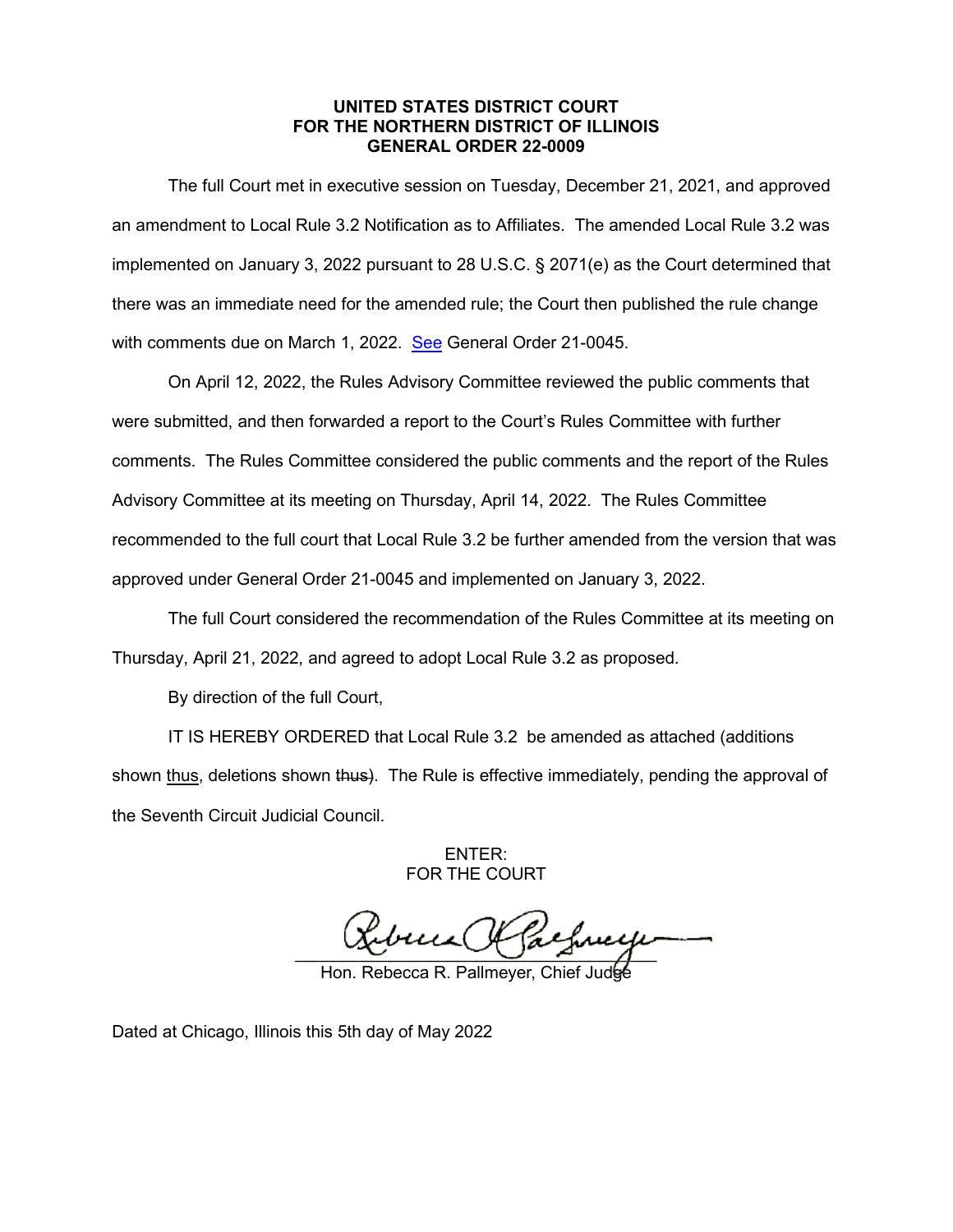## **UNITED STATES DISTRICT COURT FOR THE NORTHERN DISTRICT OF ILLINOIS GENERAL ORDER 22-0009**

The full Court met in executive session on Tuesday, December 21, 2021, and approved an amendment to Local Rule 3.2 Notification as to Affiliates. The amended Local Rule 3.2 was implemented on January 3, 2022 pursuant to 28 U.S.C. § 2071(e) as the Court determined that there was an immediate need for the amended rule; the Court then published the rule change with comments due on March 1, 2022. [See](https://www.ilnd.uscourts.gov/_assets/_documents/_forms/_clerksoffice/rules/admin/pdf-orders/General%20Order%2021-0045%20-%20Local%20Rule%203.2%20-%20Notification%20as%20to%20Affiliates%20(final).pdf) General Order 21-0045.

On April 12, 2022, the Rules Advisory Committee reviewed the public comments that were submitted, and then forwarded a report to the Court's Rules Committee with further comments. The Rules Committee considered the public comments and the report of the Rules Advisory Committee at its meeting on Thursday, April 14, 2022. The Rules Committee recommended to the full court that Local Rule 3.2 be further amended from the version that was approved under General Order 21-0045 and implemented on January 3, 2022.

The full Court considered the recommendation of the Rules Committee at its meeting on Thursday, April 21, 2022, and agreed to adopt Local Rule 3.2 as proposed.

By direction of the full Court,

IT IS HEREBY ORDERED that Local Rule 3.2 be amended as attached (additions shown thus, deletions shown thus). The Rule is effective immediately, pending the approval of the Seventh Circuit Judicial Council.

> ENTER: FOR THE COURT

 $\frac{1}{\sqrt{1-\frac{1}{2}}}$ 

Hon. Rebecca R. Pallmeyer, Chief

Dated at Chicago, Illinois this 5th day of May 2022